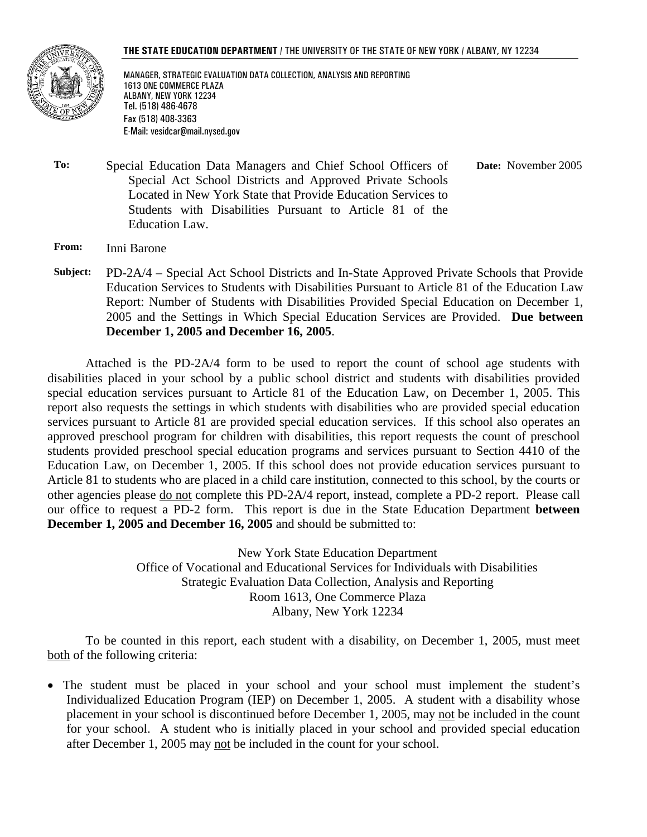

MANAGER, STRATEGIC EVALUATION DATA COLLECTION, ANALYSIS AND REPORTING 1613 ONE COMMERCE PLAZA ALBANY, NEW YORK 12234 Tel. (518) 486-4678 Fax (518) 408-3363 E-Mail: vesidcar@mail.nysed.gov

**To:** Special Education Data Managers and Chief School Officers of Special Act School Districts and Approved Private Schools Located in New York State that Provide Education Services to Students with Disabilities Pursuant to Article 81 of the Education Law.  **Date:** November 2005

- **From:** Inni Barone
- **Subject:** PD-2A/4 Special Act School Districts and In-State Approved Private Schools that Provide Education Services to Students with Disabilities Pursuant to Article 81 of the Education Law Report: Number of Students with Disabilities Provided Special Education on December 1, 2005 and the Settings in Which Special Education Services are Provided. **Due between December 1, 2005 and December 16, 2005**.

Attached is the PD-2A/4 form to be used to report the count of school age students with disabilities placed in your school by a public school district and students with disabilities provided special education services pursuant to Article 81 of the Education Law, on December 1, 2005. This report also requests the settings in which students with disabilities who are provided special education services pursuant to Article 81 are provided special education services. If this school also operates an approved preschool program for children with disabilities, this report requests the count of preschool students provided preschool special education programs and services pursuant to Section 4410 of the Education Law, on December 1, 2005. If this school does not provide education services pursuant to Article 81 to students who are placed in a child care institution, connected to this school, by the courts or other agencies please do not complete this PD-2A/4 report, instead, complete a PD-2 report. Please call our office to request a PD-2 form. This report is due in the State Education Department **between December 1, 2005 and December 16, 2005** and should be submitted to:

> New York State Education Department Office of Vocational and Educational Services for Individuals with Disabilities Strategic Evaluation Data Collection, Analysis and Reporting Room 1613, One Commerce Plaza Albany, New York 12234

To be counted in this report, each student with a disability, on December 1, 2005, must meet both of the following criteria:

• The student must be placed in your school and your school must implement the student's Individualized Education Program (IEP) on December 1, 2005. A student with a disability whose placement in your school is discontinued before December 1, 2005, may not be included in the count for your school. A student who is initially placed in your school and provided special education after December 1, 2005 may not be included in the count for your school.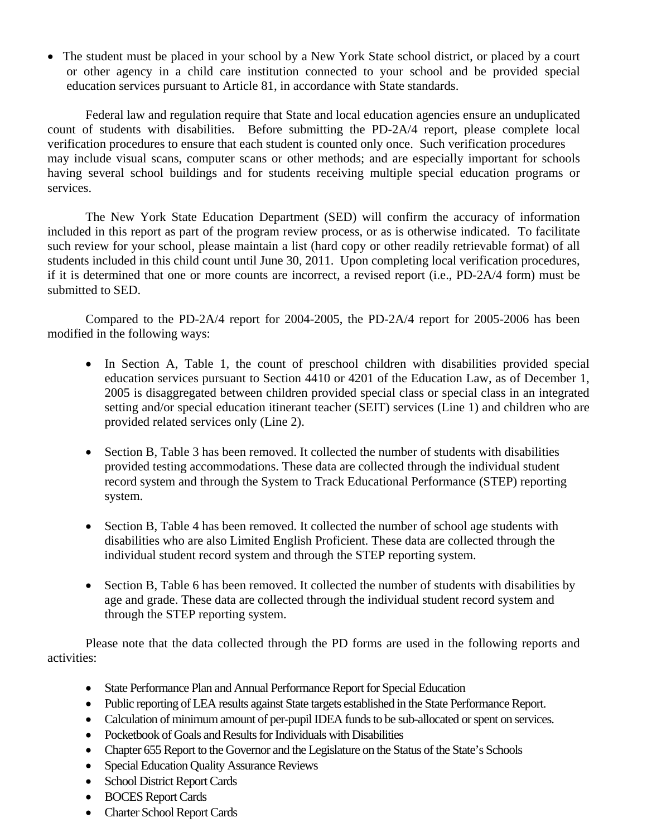• The student must be placed in your school by a New York State school district, or placed by a court or other agency in a child care institution connected to your school and be provided special education services pursuant to Article 81, in accordance with State standards.

Federal law and regulation require that State and local education agencies ensure an unduplicated count of students with disabilities. Before submitting the PD-2A/4 report, please complete local verification procedures to ensure that each student is counted only once. Such verification procedures may include visual scans, computer scans or other methods; and are especially important for schools having several school buildings and for students receiving multiple special education programs or services.

The New York State Education Department (SED) will confirm the accuracy of information included in this report as part of the program review process, or as is otherwise indicated. To facilitate such review for your school, please maintain a list (hard copy or other readily retrievable format) of all students included in this child count until June 30, 2011. Upon completing local verification procedures, if it is determined that one or more counts are incorrect, a revised report (i.e., PD-2A/4 form) must be submitted to SED.

Compared to the PD-2A/4 report for 2004-2005, the PD-2A/4 report for 2005-2006 has been modified in the following ways:

- In Section A, Table 1, the count of preschool children with disabilities provided special education services pursuant to Section 4410 or 4201 of the Education Law, as of December 1, 2005 is disaggregated between children provided special class or special class in an integrated setting and/or special education itinerant teacher (SEIT) services (Line 1) and children who are provided related services only (Line 2).
- Section B, Table 3 has been removed. It collected the number of students with disabilities provided testing accommodations. These data are collected through the individual student record system and through the System to Track Educational Performance (STEP) reporting system.
- Section B, Table 4 has been removed. It collected the number of school age students with disabilities who are also Limited English Proficient. These data are collected through the individual student record system and through the STEP reporting system.
- Section B, Table 6 has been removed. It collected the number of students with disabilities by age and grade. These data are collected through the individual student record system and through the STEP reporting system.

Please note that the data collected through the PD forms are used in the following reports and activities:

- State Performance Plan and Annual Performance Report for Special Education
- Public reporting of LEA results against State targets established in the State Performance Report.
- Calculation of minimum amount of per-pupil IDEA funds to be sub-allocated or spent on services.
- Pocketbook of Goals and Results for Individuals with Disabilities
- Chapter 655 Report to the Governor and the Legislature on the Status of the State's Schools
- Special Education Quality Assurance Reviews
- School District Report Cards
- BOCES Report Cards
- Charter School Report Cards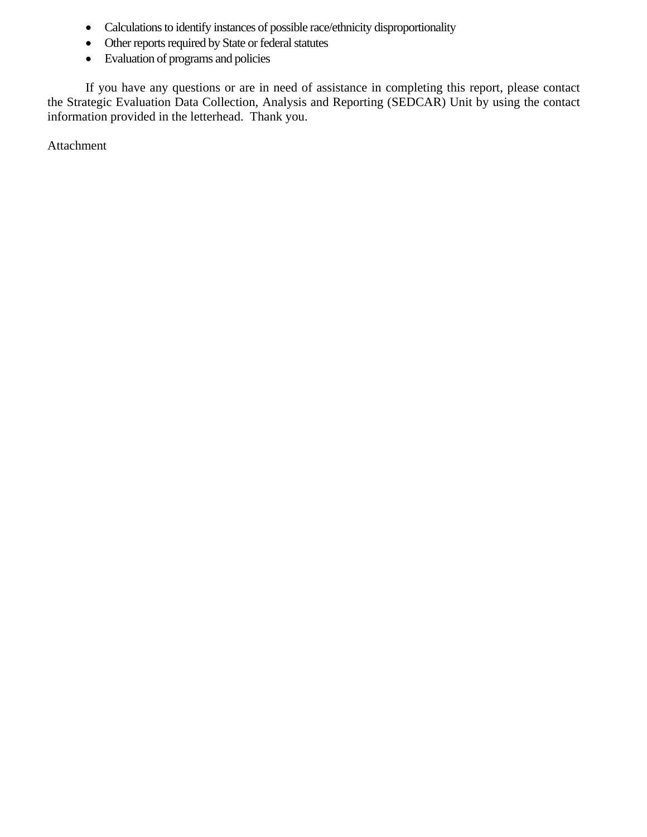- Calculations to identify instances of possible race/ethnicity disproportionality
- Other reports required by State or federal statutes
- Evaluation of programs and policies

If you have any questions or are in need of assistance in completing this report, please contact the Strategic Evaluation Data Collection, Analysis and Reporting (SEDCAR) Unit by using the contact information provided in the letterhead. Thank you.

Attachment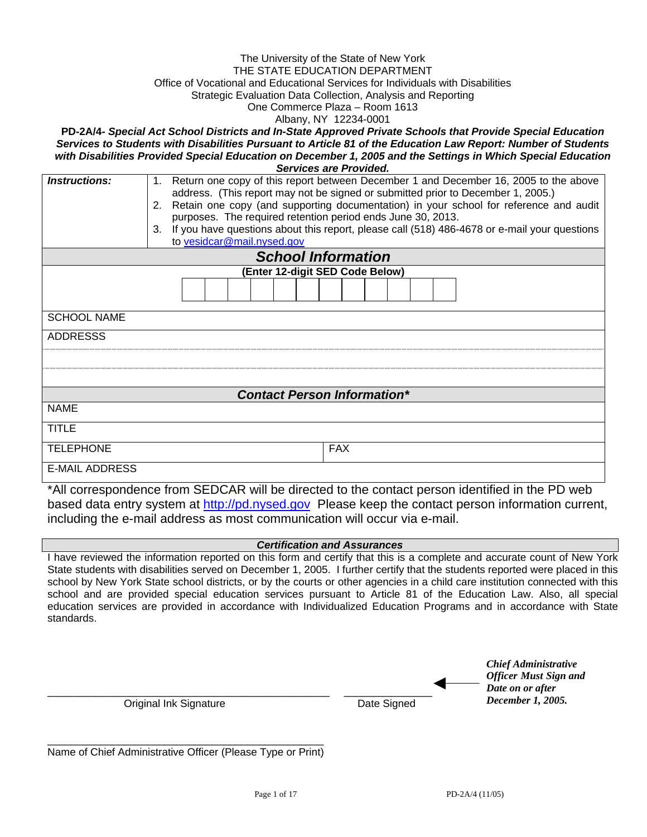#### The University of the State of New York THE STATE EDUCATION DEPARTMENT Office of Vocational and Educational Services for Individuals with Disabilities Strategic Evaluation Data Collection, Analysis and Reporting One Commerce Plaza – Room 1613

Albany, NY 12234-0001

**PD-2A/4-** *Special Act School Districts and In-State Approved Private Schools that Provide Special Education Services to Students with Disabilities Pursuant to Article 81 of the Education Law Report: Number of Students*  with Disabilities Provided Special Education on December 1, 2005 and the Settings in Which Special Education *Services are Provided.* 

| Instructions:         | Return one copy of this report between December 1 and December 16, 2005 to the above<br>1.         |  |  |  |  |  |  |  |  |
|-----------------------|----------------------------------------------------------------------------------------------------|--|--|--|--|--|--|--|--|
|                       | address. (This report may not be signed or submitted prior to December 1, 2005.)                   |  |  |  |  |  |  |  |  |
|                       | 2. Retain one copy (and supporting documentation) in your school for reference and audit           |  |  |  |  |  |  |  |  |
|                       | purposes. The required retention period ends June 30, 2013.                                        |  |  |  |  |  |  |  |  |
|                       | If you have questions about this report, please call (518) 486-4678 or e-mail your questions<br>3. |  |  |  |  |  |  |  |  |
|                       | to vesidcar@mail.nysed.gov                                                                         |  |  |  |  |  |  |  |  |
|                       | <b>School Information</b>                                                                          |  |  |  |  |  |  |  |  |
|                       | (Enter 12-digit SED Code Below)                                                                    |  |  |  |  |  |  |  |  |
|                       |                                                                                                    |  |  |  |  |  |  |  |  |
|                       |                                                                                                    |  |  |  |  |  |  |  |  |
| <b>SCHOOL NAME</b>    |                                                                                                    |  |  |  |  |  |  |  |  |
| <b>ADDRESSS</b>       |                                                                                                    |  |  |  |  |  |  |  |  |
|                       |                                                                                                    |  |  |  |  |  |  |  |  |
|                       |                                                                                                    |  |  |  |  |  |  |  |  |
|                       |                                                                                                    |  |  |  |  |  |  |  |  |
|                       |                                                                                                    |  |  |  |  |  |  |  |  |
|                       | <b>Contact Person Information*</b>                                                                 |  |  |  |  |  |  |  |  |
| <b>NAME</b>           |                                                                                                    |  |  |  |  |  |  |  |  |
| <b>TITLE</b>          |                                                                                                    |  |  |  |  |  |  |  |  |
| <b>TELEPHONE</b>      | <b>FAX</b>                                                                                         |  |  |  |  |  |  |  |  |
| <b>E-MAIL ADDRESS</b> |                                                                                                    |  |  |  |  |  |  |  |  |

\*All correspondence from SEDCAR will be directed to the contact person identified in the PD web based data entry system at http://pd.nysed.gov Please keep the contact person information current, including the e-mail address as most communication will occur via e-mail.

#### *Certification and Assurances*

I have reviewed the information reported on this form and certify that this is a complete and accurate count of New York State students with disabilities served on December 1, 2005. I further certify that the students reported were placed in this school by New York State school districts, or by the courts or other agencies in a child care institution connected with this school and are provided special education services pursuant to Article 81 of the Education Law. Also, all special education services are provided in accordance with Individualized Education Programs and in accordance with State standards.

|                        |             | Chief Administrative         |
|------------------------|-------------|------------------------------|
|                        |             | <b>Officer Must Sign and</b> |
|                        |             | Date on or after             |
| Original Ink Signature | Date Signed | December 1, 2005.            |

| Name of Chief Administrative Officer (Please Type or Print) |  |  |
|-------------------------------------------------------------|--|--|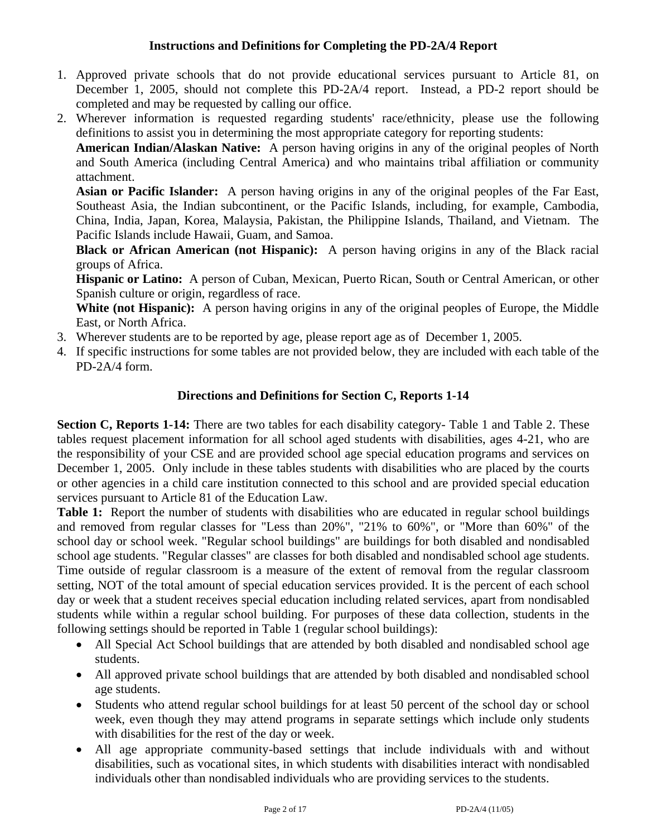### **Instructions and Definitions for Completing the PD-2A/4 Report**

- 1. Approved private schools that do not provide educational services pursuant to Article 81, on December 1, 2005, should not complete this PD-2A/4 report. Instead, a PD-2 report should be completed and may be requested by calling our office.
- 2. Wherever information is requested regarding students' race/ethnicity, please use the following definitions to assist you in determining the most appropriate category for reporting students:

**American Indian/Alaskan Native:** A person having origins in any of the original peoples of North and South America (including Central America) and who maintains tribal affiliation or community attachment.

**Asian or Pacific Islander:** A person having origins in any of the original peoples of the Far East, Southeast Asia, the Indian subcontinent, or the Pacific Islands, including, for example, Cambodia, China, India, Japan, Korea, Malaysia, Pakistan, the Philippine Islands, Thailand, and Vietnam. The Pacific Islands include Hawaii, Guam, and Samoa.

**Black or African American (not Hispanic):** A person having origins in any of the Black racial groups of Africa.

**Hispanic or Latino:** A person of Cuban, Mexican, Puerto Rican, South or Central American, or other Spanish culture or origin, regardless of race.

White (not Hispanic): A person having origins in any of the original peoples of Europe, the Middle East, or North Africa.

- 3. Wherever students are to be reported by age, please report age as of December 1, 2005.
- 4. If specific instructions for some tables are not provided below, they are included with each table of the PD-2A/4 form.

#### **Directions and Definitions for Section C, Reports 1-14**

**Section C, Reports 1-14:** There are two tables for each disability category- Table 1 and Table 2. These tables request placement information for all school aged students with disabilities, ages 4-21, who are the responsibility of your CSE and are provided school age special education programs and services on December 1, 2005. Only include in these tables students with disabilities who are placed by the courts or other agencies in a child care institution connected to this school and are provided special education services pursuant to Article 81 of the Education Law.

**Table 1:** Report the number of students with disabilities who are educated in regular school buildings and removed from regular classes for "Less than 20%", "21% to 60%", or "More than 60%" of the school day or school week. "Regular school buildings" are buildings for both disabled and nondisabled school age students. "Regular classes" are classes for both disabled and nondisabled school age students. Time outside of regular classroom is a measure of the extent of removal from the regular classroom setting, NOT of the total amount of special education services provided. It is the percent of each school day or week that a student receives special education including related services, apart from nondisabled students while within a regular school building. For purposes of these data collection, students in the following settings should be reported in Table 1 (regular school buildings):

- All Special Act School buildings that are attended by both disabled and nondisabled school age students.
- All approved private school buildings that are attended by both disabled and nondisabled school age students.
- Students who attend regular school buildings for at least 50 percent of the school day or school week, even though they may attend programs in separate settings which include only students with disabilities for the rest of the day or week.
- All age appropriate community-based settings that include individuals with and without disabilities, such as vocational sites, in which students with disabilities interact with nondisabled individuals other than nondisabled individuals who are providing services to the students.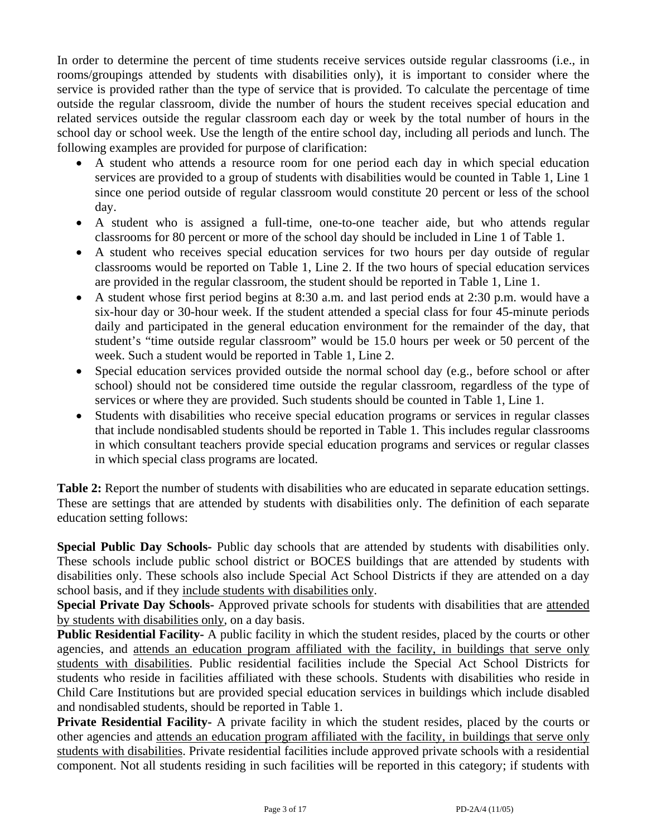In order to determine the percent of time students receive services outside regular classrooms (i.e., in rooms/groupings attended by students with disabilities only), it is important to consider where the service is provided rather than the type of service that is provided. To calculate the percentage of time outside the regular classroom, divide the number of hours the student receives special education and related services outside the regular classroom each day or week by the total number of hours in the school day or school week. Use the length of the entire school day, including all periods and lunch. The following examples are provided for purpose of clarification:

- A student who attends a resource room for one period each day in which special education services are provided to a group of students with disabilities would be counted in Table 1, Line 1 since one period outside of regular classroom would constitute 20 percent or less of the school day.
- A student who is assigned a full-time, one-to-one teacher aide, but who attends regular classrooms for 80 percent or more of the school day should be included in Line 1 of Table 1.
- A student who receives special education services for two hours per day outside of regular classrooms would be reported on Table 1, Line 2. If the two hours of special education services are provided in the regular classroom, the student should be reported in Table 1, Line 1.
- A student whose first period begins at 8:30 a.m. and last period ends at 2:30 p.m. would have a six-hour day or 30-hour week. If the student attended a special class for four 45-minute periods daily and participated in the general education environment for the remainder of the day, that student's "time outside regular classroom" would be 15.0 hours per week or 50 percent of the week. Such a student would be reported in Table 1, Line 2.
- Special education services provided outside the normal school day (e.g., before school or after school) should not be considered time outside the regular classroom, regardless of the type of services or where they are provided. Such students should be counted in Table 1, Line 1.
- Students with disabilities who receive special education programs or services in regular classes that include nondisabled students should be reported in Table 1. This includes regular classrooms in which consultant teachers provide special education programs and services or regular classes in which special class programs are located.

**Table 2:** Report the number of students with disabilities who are educated in separate education settings. These are settings that are attended by students with disabilities only. The definition of each separate education setting follows:

**Special Public Day Schools-** Public day schools that are attended by students with disabilities only. These schools include public school district or BOCES buildings that are attended by students with disabilities only. These schools also include Special Act School Districts if they are attended on a day school basis, and if they include students with disabilities only.

**Special Private Day Schools-** Approved private schools for students with disabilities that are attended by students with disabilities only, on a day basis.

**Public Residential Facility-** A public facility in which the student resides, placed by the courts or other agencies, and attends an education program affiliated with the facility, in buildings that serve only students with disabilities. Public residential facilities include the Special Act School Districts for students who reside in facilities affiliated with these schools. Students with disabilities who reside in Child Care Institutions but are provided special education services in buildings which include disabled and nondisabled students, should be reported in Table 1.

**Private Residential Facility-** A private facility in which the student resides, placed by the courts or other agencies and attends an education program affiliated with the facility, in buildings that serve only students with disabilities. Private residential facilities include approved private schools with a residential component. Not all students residing in such facilities will be reported in this category; if students with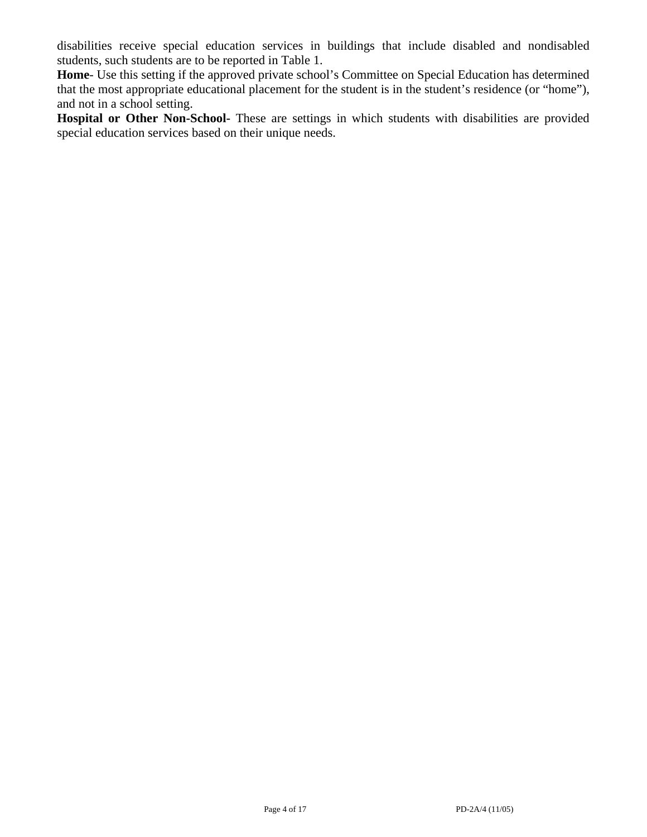disabilities receive special education services in buildings that include disabled and nondisabled students, such students are to be reported in Table 1.

**Home**- Use this setting if the approved private school's Committee on Special Education has determined that the most appropriate educational placement for the student is in the student's residence (or "home"), and not in a school setting.

Hospital or Other Non-School- These are settings in which students with disabilities are provided special education services based on their unique needs.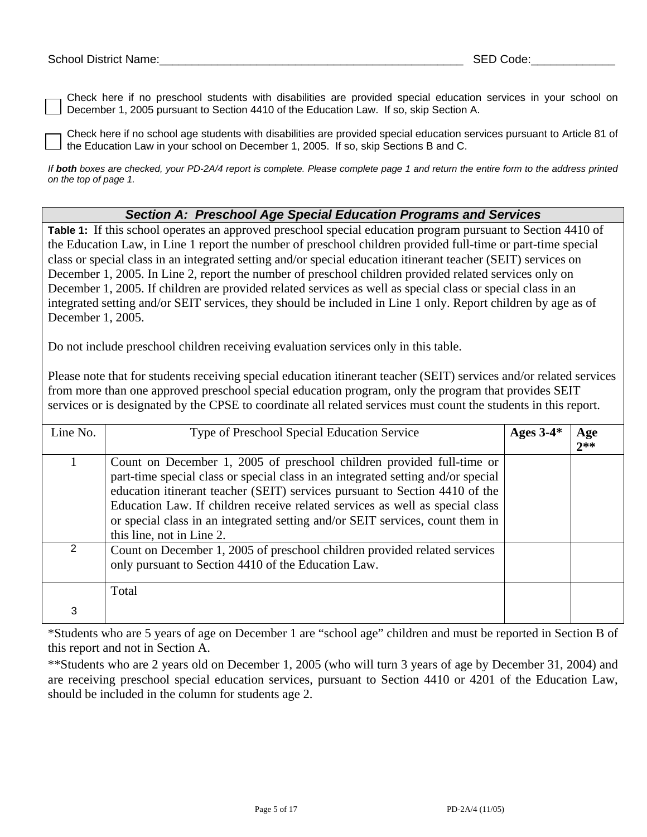Check here if no preschool students with disabilities are provided special education services in your school on December 1, 2005 pursuant to Section 4410 of the Education Law. If so, skip Section A.

Check here if no school age students with disabilities are provided special education services pursuant to Article 81 of the Education Law in your school on December 1, 2005. If so, skip Sections B and C.

*If both boxes are checked, your PD-2A/4 report is complete. Please complete page 1 and return the entire form to the address printed on the top of page 1.* 

#### *Section A: Preschool Age Special Education Programs and Services*

**Table 1:** If this school operates an approved preschool special education program pursuant to Section 4410 of the Education Law, in Line 1 report the number of preschool children provided full-time or part-time special class or special class in an integrated setting and/or special education itinerant teacher (SEIT) services on December 1, 2005. In Line 2, report the number of preschool children provided related services only on December 1, 2005. If children are provided related services as well as special class or special class in an integrated setting and/or SEIT services, they should be included in Line 1 only. Report children by age as of December 1, 2005.

Do not include preschool children receiving evaluation services only in this table.

Please note that for students receiving special education itinerant teacher (SEIT) services and/or related services from more than one approved preschool special education program, only the program that provides SEIT services or is designated by the CPSE to coordinate all related services must count the students in this report.

| Line No.      | Type of Preschool Special Education Service                                                                                                                                                                                                                                                                                                                                                                                            | Ages $3-4*$ | Age<br>$2**$ |
|---------------|----------------------------------------------------------------------------------------------------------------------------------------------------------------------------------------------------------------------------------------------------------------------------------------------------------------------------------------------------------------------------------------------------------------------------------------|-------------|--------------|
|               | Count on December 1, 2005 of preschool children provided full-time or<br>part-time special class or special class in an integrated setting and/or special<br>education itinerant teacher (SEIT) services pursuant to Section 4410 of the<br>Education Law. If children receive related services as well as special class<br>or special class in an integrated setting and/or SEIT services, count them in<br>this line, not in Line 2. |             |              |
| $\mathcal{P}$ | Count on December 1, 2005 of preschool children provided related services<br>only pursuant to Section 4410 of the Education Law.                                                                                                                                                                                                                                                                                                       |             |              |
| 3             | Total                                                                                                                                                                                                                                                                                                                                                                                                                                  |             |              |

\*Students who are 5 years of age on December 1 are "school age" children and must be reported in Section B of this report and not in Section A.

\*\*Students who are 2 years old on December 1, 2005 (who will turn 3 years of age by December 31, 2004) and are receiving preschool special education services, pursuant to Section 4410 or 4201 of the Education Law, should be included in the column for students age 2.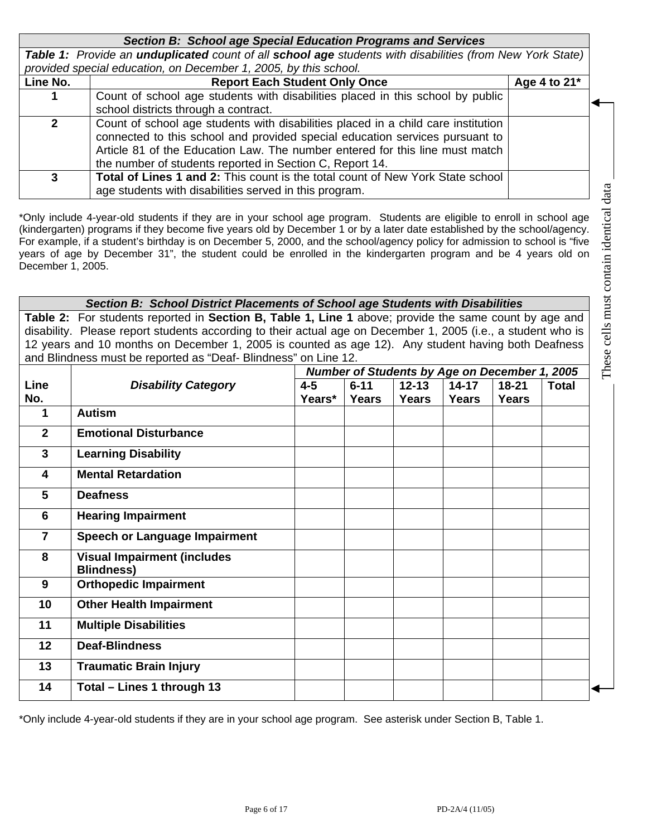|              | Section B: School age Special Education Programs and Services                                             |                 |  |  |  |  |  |  |  |  |
|--------------|-----------------------------------------------------------------------------------------------------------|-----------------|--|--|--|--|--|--|--|--|
|              | Table 1: Provide an unduplicated count of all school age students with disabilities (from New York State) |                 |  |  |  |  |  |  |  |  |
|              | provided special education, on December 1, 2005, by this school.                                          |                 |  |  |  |  |  |  |  |  |
| Line No.     | <b>Report Each Student Only Once</b>                                                                      | Age 4 to $21^*$ |  |  |  |  |  |  |  |  |
|              | Count of school age students with disabilities placed in this school by public                            |                 |  |  |  |  |  |  |  |  |
|              | school districts through a contract.                                                                      |                 |  |  |  |  |  |  |  |  |
| $\mathbf{2}$ | Count of school age students with disabilities placed in a child care institution                         |                 |  |  |  |  |  |  |  |  |
|              | connected to this school and provided special education services pursuant to                              |                 |  |  |  |  |  |  |  |  |
|              | Article 81 of the Education Law. The number entered for this line must match                              |                 |  |  |  |  |  |  |  |  |
|              | the number of students reported in Section C, Report 14.                                                  |                 |  |  |  |  |  |  |  |  |
| $\mathbf{3}$ | Total of Lines 1 and 2: This count is the total count of New York State school                            |                 |  |  |  |  |  |  |  |  |
|              | age students with disabilities served in this program.                                                    |                 |  |  |  |  |  |  |  |  |

\*Only include 4-year-old students if they are in your school age program. Students are eligible to enroll in school age (kindergarten) programs if they become five years old by December 1 or by a later date established by the school/agency. For example, if a student's birthday is on December 5, 2000, and the school/agency policy for admission to school is "five years of age by December 31", the student could be enrolled in the kindergarten program and be 4 years old on December 1, 2005.

*Section B: School District Placements of School age Students with Disabilities* **Table 2:** For students reported in **Section B, Table 1, Line 1** above; provide the same count by age and disability. Please report students according to their actual age on December 1, 2005 (i.e., a student who is 12 years and 10 months on December 1, 2005 is counted as age 12). Any student having both Deafness and Blindness must be reported as "Deaf- Blindness" on Line 12.

|                | Number of Students by Age on December 1, 2005           |         |              |              |              |              |              |
|----------------|---------------------------------------------------------|---------|--------------|--------------|--------------|--------------|--------------|
| Line           | <b>Disability Category</b>                              | $4 - 5$ | $6 - 11$     | $12 - 13$    | $14 - 17$    | $18 - 21$    | <b>Total</b> |
| No.            |                                                         | Years*  | <b>Years</b> | <b>Years</b> | <b>Years</b> | <b>Years</b> |              |
| 1              | <b>Autism</b>                                           |         |              |              |              |              |              |
| $\overline{2}$ | <b>Emotional Disturbance</b>                            |         |              |              |              |              |              |
| $\mathbf{3}$   | <b>Learning Disability</b>                              |         |              |              |              |              |              |
| 4              | <b>Mental Retardation</b>                               |         |              |              |              |              |              |
| $5\phantom{1}$ | <b>Deafness</b>                                         |         |              |              |              |              |              |
| 6              | <b>Hearing Impairment</b>                               |         |              |              |              |              |              |
| 7              | <b>Speech or Language Impairment</b>                    |         |              |              |              |              |              |
| 8              | <b>Visual Impairment (includes</b><br><b>Blindness)</b> |         |              |              |              |              |              |
| 9              | <b>Orthopedic Impairment</b>                            |         |              |              |              |              |              |
| 10             | <b>Other Health Impairment</b>                          |         |              |              |              |              |              |
| 11             | <b>Multiple Disabilities</b>                            |         |              |              |              |              |              |
| 12             | <b>Deaf-Blindness</b>                                   |         |              |              |              |              |              |
| 13             | <b>Traumatic Brain Injury</b>                           |         |              |              |              |              |              |
| 14             | Total - Lines 1 through 13                              |         |              |              |              |              | ◀            |

\*Only include 4-year-old students if they are in your school age program. See asterisk under Section B, Table 1.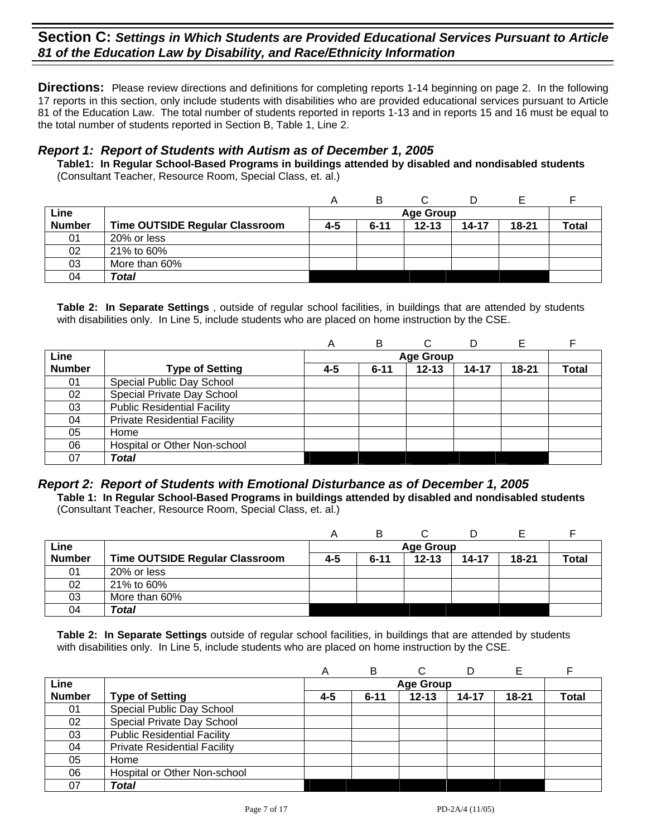**Directions:** Please review directions and definitions for completing reports 1-14 beginning on page 2. In the following 17 reports in this section, only include students with disabilities who are provided educational services pursuant to Article 81 of the Education Law. The total number of students reported in reports 1-13 and in reports 15 and 16 must be equal to the total number of students reported in Section B, Table 1, Line 2.

### *Report 1: Report of Students with Autism as of December 1, 2005*

**Table1: In Regular School-Based Programs in buildings attended by disabled and nondisabled students**  (Consultant Teacher, Resource Room, Special Class, et. al.)

|               |                                |     | в        |                  |           |           |       |
|---------------|--------------------------------|-----|----------|------------------|-----------|-----------|-------|
| Line          |                                |     |          | <b>Age Group</b> |           |           |       |
| <b>Number</b> | Time OUTSIDE Regular Classroom | 4-5 | $6 - 11$ | $12 - 13$        | $14 - 17$ | $18 - 21$ | Total |
| 01            | 20% or less                    |     |          |                  |           |           |       |
| 02            | 21% to 60%                     |     |          |                  |           |           |       |
| 03            | More than 60%                  |     |          |                  |           |           |       |
| 04            | Total                          |     |          |                  |           |           |       |

**Table 2: In Separate Settings** , outside of regular school facilities, in buildings that are attended by students with disabilities only. In Line 5, include students who are placed on home instruction by the CSE.

|               |                                     | Α   | в        |                  |       |           |              |
|---------------|-------------------------------------|-----|----------|------------------|-------|-----------|--------------|
| Line          |                                     |     |          | <b>Age Group</b> |       |           |              |
| <b>Number</b> | <b>Type of Setting</b>              | 4-5 | $6 - 11$ | $12 - 13$        | 14-17 | $18 - 21$ | <b>Total</b> |
| 01            | Special Public Day School           |     |          |                  |       |           |              |
| 02            | Special Private Day School          |     |          |                  |       |           |              |
| 03            | <b>Public Residential Facility</b>  |     |          |                  |       |           |              |
| 04            | <b>Private Residential Facility</b> |     |          |                  |       |           |              |
| 05            | Home                                |     |          |                  |       |           |              |
| 06            | Hospital or Other Non-school        |     |          |                  |       |           |              |
| 07            | <b>Total</b>                        |     |          |                  |       |           |              |

# *Report 2: Report of Students with Emotional Disturbance as of December 1, 2005*

**Table 1: In Regular School-Based Programs in buildings attended by disabled and nondisabled students**  (Consultant Teacher, Resource Room, Special Class, et. al.)

| Line          |                                       |     |          | <b>Age Group</b> |           |           |              |
|---------------|---------------------------------------|-----|----------|------------------|-----------|-----------|--------------|
| <b>Number</b> | <b>Time OUTSIDE Regular Classroom</b> | 4-5 | $6 - 11$ | $12 - 13$        | $14 - 17$ | $18 - 21$ | <b>Total</b> |
| 01            | 20% or less                           |     |          |                  |           |           |              |
| 02            | 21% to 60%                            |     |          |                  |           |           |              |
| 03            | More than 60%                         |     |          |                  |           |           |              |
| 04            | Total                                 |     |          |                  |           |           |              |

|               |                                     | A   | в        |                  | D     | Е         |              |
|---------------|-------------------------------------|-----|----------|------------------|-------|-----------|--------------|
| Line          |                                     |     |          | <b>Age Group</b> |       |           |              |
| <b>Number</b> | <b>Type of Setting</b>              | 4-5 | $6 - 11$ | $12 - 13$        | 14-17 | $18 - 21$ | <b>Total</b> |
| 01            | Special Public Day School           |     |          |                  |       |           |              |
| 02            | Special Private Day School          |     |          |                  |       |           |              |
| 03            | <b>Public Residential Facility</b>  |     |          |                  |       |           |              |
| 04            | <b>Private Residential Facility</b> |     |          |                  |       |           |              |
| 05            | Home                                |     |          |                  |       |           |              |
| 06            | Hospital or Other Non-school        |     |          |                  |       |           |              |
| 07            | <b>Total</b>                        |     |          |                  |       |           |              |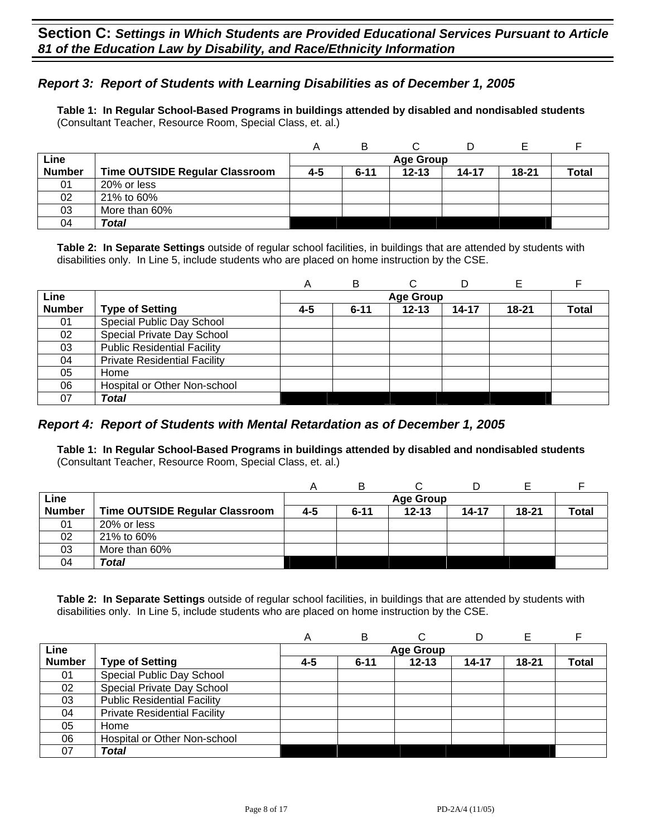## *Report 3: Report of Students with Learning Disabilities as of December 1, 2005*

**Table 1: In Regular School-Based Programs in buildings attended by disabled and nondisabled students**  (Consultant Teacher, Resource Room, Special Class, et. al.)

|               |                                | А       |          |                  |       |           |              |
|---------------|--------------------------------|---------|----------|------------------|-------|-----------|--------------|
| Line          |                                |         |          | <b>Age Group</b> |       |           |              |
| <b>Number</b> | Time OUTSIDE Regular Classroom | $4 - 5$ | $6 - 11$ | $12 - 13$        | 14-17 | $18 - 21$ | <b>Total</b> |
| 01            | 20% or less                    |         |          |                  |       |           |              |
| 02            | 21% to 60%                     |         |          |                  |       |           |              |
| 03            | More than 60%                  |         |          |                  |       |           |              |
| 04            | Total                          |         |          |                  |       |           |              |

**Table 2: In Separate Settings** outside of regular school facilities, in buildings that are attended by students with disabilities only. In Line 5, include students who are placed on home instruction by the CSE.

|               |                                     | А   | B        |                  |       |           |              |
|---------------|-------------------------------------|-----|----------|------------------|-------|-----------|--------------|
| Line          |                                     |     |          | <b>Age Group</b> |       |           |              |
| <b>Number</b> | <b>Type of Setting</b>              | 4-5 | $6 - 11$ | $12 - 13$        | 14-17 | $18 - 21$ | <b>Total</b> |
| 01            | Special Public Day School           |     |          |                  |       |           |              |
| 02            | Special Private Day School          |     |          |                  |       |           |              |
| 03            | <b>Public Residential Facility</b>  |     |          |                  |       |           |              |
| 04            | <b>Private Residential Facility</b> |     |          |                  |       |           |              |
| 05            | Home                                |     |          |                  |       |           |              |
| 06            | Hospital or Other Non-school        |     |          |                  |       |           |              |
| 07            | <b>Total</b>                        |     |          |                  |       |           |              |

#### *Report 4: Report of Students with Mental Retardation as of December 1, 2005*

**Table 1: In Regular School-Based Programs in buildings attended by disabled and nondisabled students**  (Consultant Teacher, Resource Room, Special Class, et. al.)

|               |                                       | А   | B                |           |       |           |       |  |  |
|---------------|---------------------------------------|-----|------------------|-----------|-------|-----------|-------|--|--|
| Line          |                                       |     | <b>Age Group</b> |           |       |           |       |  |  |
| <b>Number</b> | <b>Time OUTSIDE Regular Classroom</b> | 4-5 | $6 - 11$         | $12 - 13$ | 14-17 | $18 - 21$ | Total |  |  |
| 01            | 20% or less                           |     |                  |           |       |           |       |  |  |
| 02            | 21% to 60%                            |     |                  |           |       |           |       |  |  |
| 03            | More than 60%                         |     |                  |           |       |           |       |  |  |
| 04            | Total                                 |     |                  |           |       |           |       |  |  |

|               |                                     | Α   | B        | C                |       |           |       |
|---------------|-------------------------------------|-----|----------|------------------|-------|-----------|-------|
| Line          |                                     |     |          | <b>Age Group</b> |       |           |       |
| <b>Number</b> | <b>Type of Setting</b>              | 4-5 | $6 - 11$ | $12 - 13$        | 14-17 | $18 - 21$ | Total |
| 01            | Special Public Day School           |     |          |                  |       |           |       |
| 02            | Special Private Day School          |     |          |                  |       |           |       |
| 03            | <b>Public Residential Facility</b>  |     |          |                  |       |           |       |
| 04            | <b>Private Residential Facility</b> |     |          |                  |       |           |       |
| 05            | Home                                |     |          |                  |       |           |       |
| 06            | Hospital or Other Non-school        |     |          |                  |       |           |       |
| 07            | Total                               |     |          |                  |       |           |       |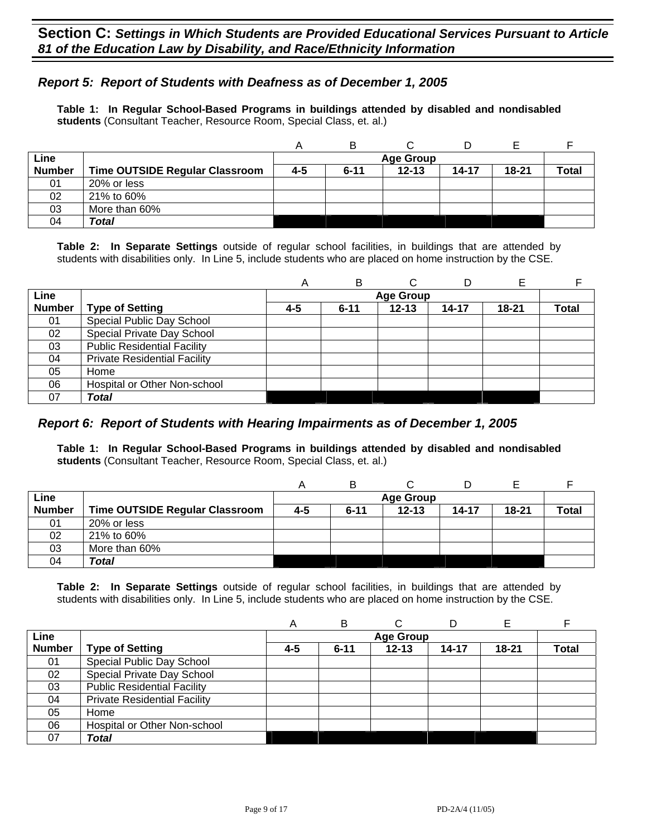### *Report 5: Report of Students with Deafness as of December 1, 2005*

**Table 1: In Regular School-Based Programs in buildings attended by disabled and nondisabled students** (Consultant Teacher, Resource Room, Special Class, et. al.)

|               |                                       | Α       |                  |           |           |           |       |  |  |
|---------------|---------------------------------------|---------|------------------|-----------|-----------|-----------|-------|--|--|
| Line          |                                       |         | <b>Age Group</b> |           |           |           |       |  |  |
| <b>Number</b> | <b>Time OUTSIDE Regular Classroom</b> | $4 - 5$ | $6 - 11$         | $12 - 13$ | $14 - 17$ | $18 - 21$ | Total |  |  |
| 01            | 20% or less                           |         |                  |           |           |           |       |  |  |
| 02            | 21% to 60%                            |         |                  |           |           |           |       |  |  |
| 03            | More than 60%                         |         |                  |           |           |           |       |  |  |
| 04            | Total                                 |         |                  |           |           |           |       |  |  |

**Table 2: In Separate Settings** outside of regular school facilities, in buildings that are attended by students with disabilities only. In Line 5, include students who are placed on home instruction by the CSE.

|               |                                     | Α   | в        |                  | D         |           |              |
|---------------|-------------------------------------|-----|----------|------------------|-----------|-----------|--------------|
| Line          |                                     |     |          | <b>Age Group</b> |           |           |              |
| <b>Number</b> | <b>Type of Setting</b>              | 4-5 | $6 - 11$ | $12 - 13$        | $14 - 17$ | $18 - 21$ | <b>Total</b> |
| 01            | Special Public Day School           |     |          |                  |           |           |              |
| 02            | Special Private Day School          |     |          |                  |           |           |              |
| 03            | <b>Public Residential Facility</b>  |     |          |                  |           |           |              |
| 04            | <b>Private Residential Facility</b> |     |          |                  |           |           |              |
| 05            | Home                                |     |          |                  |           |           |              |
| 06            | Hospital or Other Non-school        |     |          |                  |           |           |              |
| 07            | <b>Total</b>                        |     |          |                  |           |           |              |

#### *Report 6: Report of Students with Hearing Impairments as of December 1, 2005*

**Table 1: In Regular School-Based Programs in buildings attended by disabled and nondisabled students** (Consultant Teacher, Resource Room, Special Class, et. al.)

|               |                                       | A   | в                |           |       |       |       |  |  |
|---------------|---------------------------------------|-----|------------------|-----------|-------|-------|-------|--|--|
| Line          |                                       |     | <b>Age Group</b> |           |       |       |       |  |  |
| <b>Number</b> | <b>Time OUTSIDE Regular Classroom</b> | 4-5 | $6 - 11$         | $12 - 13$ | 14-17 | 18-21 | Total |  |  |
| 01            | 20% or less                           |     |                  |           |       |       |       |  |  |
| 02            | 21% to 60%                            |     |                  |           |       |       |       |  |  |
| 03            | More than 60%                         |     |                  |           |       |       |       |  |  |
| 04            | Total                                 |     |                  |           |       |       |       |  |  |

|               |                                     | $\forall$ | B        |                  |       |           |              |
|---------------|-------------------------------------|-----------|----------|------------------|-------|-----------|--------------|
| Line          |                                     |           |          | <b>Age Group</b> |       |           |              |
| <b>Number</b> | <b>Type of Setting</b>              | 4-5       | $6 - 11$ | $12 - 13$        | 14-17 | $18 - 21$ | <b>Total</b> |
| 01            | Special Public Day School           |           |          |                  |       |           |              |
| 02            | Special Private Day School          |           |          |                  |       |           |              |
| 03            | <b>Public Residential Facility</b>  |           |          |                  |       |           |              |
| 04            | <b>Private Residential Facility</b> |           |          |                  |       |           |              |
| 05            | Home                                |           |          |                  |       |           |              |
| 06            | Hospital or Other Non-school        |           |          |                  |       |           |              |
| 07            | Total                               |           |          |                  |       |           |              |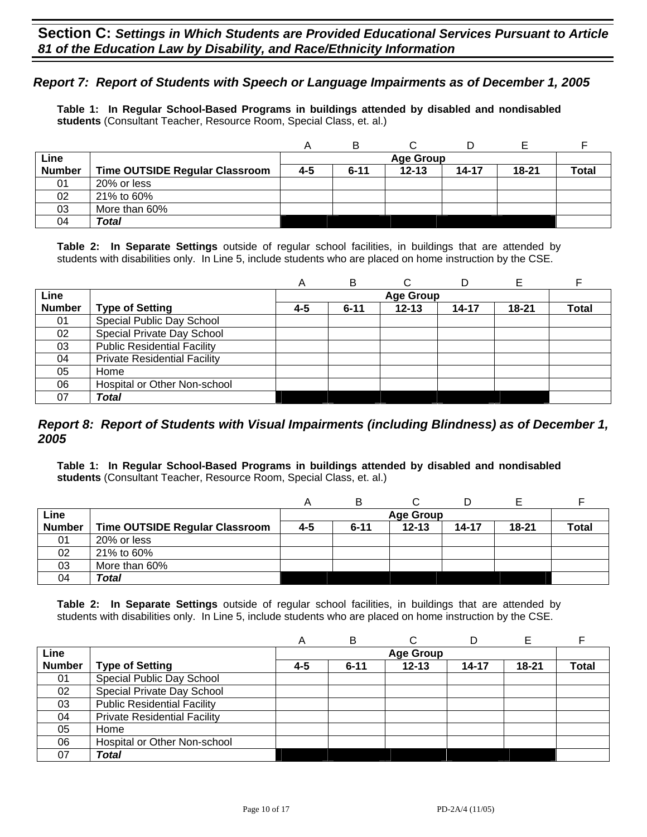### *Report 7: Report of Students with Speech or Language Impairments as of December 1, 2005*

**Table 1: In Regular School-Based Programs in buildings attended by disabled and nondisabled students** (Consultant Teacher, Resource Room, Special Class, et. al.)

|               |                                |     | B                |           |           |       |              |  |  |
|---------------|--------------------------------|-----|------------------|-----------|-----------|-------|--------------|--|--|
| Line          |                                |     | <b>Age Group</b> |           |           |       |              |  |  |
| <b>Number</b> | Time OUTSIDE Regular Classroom | 4-5 | $6 - 11$         | $12 - 13$ | $14 - 17$ | 18-21 | <b>Total</b> |  |  |
| 01            | 20% or less                    |     |                  |           |           |       |              |  |  |
| 02            | 21% to 60%                     |     |                  |           |           |       |              |  |  |
| 03            | More than 60%                  |     |                  |           |           |       |              |  |  |
| 04            | Total                          |     |                  |           |           |       |              |  |  |

**Table 2: In Separate Settings** outside of regular school facilities, in buildings that are attended by students with disabilities only. In Line 5, include students who are placed on home instruction by the CSE.

|               |                                     | Α   | в        | С                | D     |           |              |
|---------------|-------------------------------------|-----|----------|------------------|-------|-----------|--------------|
| Line          |                                     |     |          | <b>Age Group</b> |       |           |              |
| <b>Number</b> | <b>Type of Setting</b>              | 4-5 | $6 - 11$ | $12 - 13$        | 14-17 | $18 - 21$ | <b>Total</b> |
| 01            | Special Public Day School           |     |          |                  |       |           |              |
| 02            | Special Private Day School          |     |          |                  |       |           |              |
| 03            | <b>Public Residential Facility</b>  |     |          |                  |       |           |              |
| 04            | <b>Private Residential Facility</b> |     |          |                  |       |           |              |
| 05            | Home                                |     |          |                  |       |           |              |
| 06            | Hospital or Other Non-school        |     |          |                  |       |           |              |
| 07            | Total                               |     |          |                  |       |           |              |

#### *Report 8: Report of Students with Visual Impairments (including Blindness) as of December 1, 2005*

**Table 1: In Regular School-Based Programs in buildings attended by disabled and nondisabled students** (Consultant Teacher, Resource Room, Special Class, et. al.)

|               |                                       |         | в        |                  |           |           |              |
|---------------|---------------------------------------|---------|----------|------------------|-----------|-----------|--------------|
| Line          |                                       |         |          | <b>Age Group</b> |           |           |              |
| <b>Number</b> | <b>Time OUTSIDE Regular Classroom</b> | $4 - 5$ | $6 - 11$ | $12 - 13$        | $14 - 17$ | $18 - 21$ | <b>Total</b> |
| 01            | 20% or less                           |         |          |                  |           |           |              |
| 02            | 21% to 60%                            |         |          |                  |           |           |              |
| 03            | More than 60%                         |         |          |                  |           |           |              |
| 04            | Total                                 |         |          |                  |           |           |              |

|               |                                     | Α   | в        |                  |           |           |       |
|---------------|-------------------------------------|-----|----------|------------------|-----------|-----------|-------|
| Line          |                                     |     |          | <b>Age Group</b> |           |           |       |
| <b>Number</b> | <b>Type of Setting</b>              | 4-5 | $6 - 11$ | $12 - 13$        | $14 - 17$ | $18 - 21$ | Total |
| 01            | Special Public Day School           |     |          |                  |           |           |       |
| 02            | Special Private Day School          |     |          |                  |           |           |       |
| 03            | <b>Public Residential Facility</b>  |     |          |                  |           |           |       |
| 04            | <b>Private Residential Facility</b> |     |          |                  |           |           |       |
| 05            | Home                                |     |          |                  |           |           |       |
| 06            | Hospital or Other Non-school        |     |          |                  |           |           |       |
| 07            | Total                               |     |          |                  |           |           |       |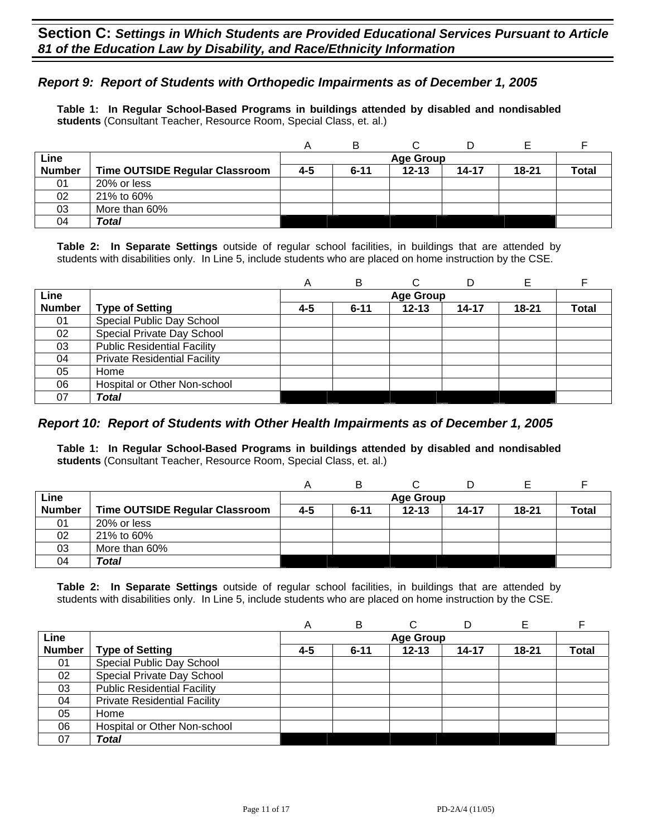### *Report 9: Report of Students with Orthopedic Impairments as of December 1, 2005*

**Table 1: In Regular School-Based Programs in buildings attended by disabled and nondisabled students** (Consultant Teacher, Resource Room, Special Class, et. al.)

|               |                                |     | в                |           | D         |       |              |  |  |
|---------------|--------------------------------|-----|------------------|-----------|-----------|-------|--------------|--|--|
| Line          |                                |     | <b>Age Group</b> |           |           |       |              |  |  |
| <b>Number</b> | Time OUTSIDE Regular Classroom | 4-5 | $6 - 11$         | $12 - 13$ | $14 - 17$ | 18-21 | <b>Total</b> |  |  |
| 01            | 20% or less                    |     |                  |           |           |       |              |  |  |
| 02            | 21% to 60%                     |     |                  |           |           |       |              |  |  |
| 03            | More than 60%                  |     |                  |           |           |       |              |  |  |
| 04            | Total                          |     |                  |           |           |       |              |  |  |

**Table 2: In Separate Settings** outside of regular school facilities, in buildings that are attended by students with disabilities only. In Line 5, include students who are placed on home instruction by the CSE.

|               |                                     | A   | B        | C                | D         |       |              |
|---------------|-------------------------------------|-----|----------|------------------|-----------|-------|--------------|
| Line          |                                     |     |          | <b>Age Group</b> |           |       |              |
| <b>Number</b> | <b>Type of Setting</b>              | 4-5 | $6 - 11$ | $12 - 13$        | $14 - 17$ | 18-21 | <b>Total</b> |
| 01            | Special Public Day School           |     |          |                  |           |       |              |
| 02            | Special Private Day School          |     |          |                  |           |       |              |
| 03            | <b>Public Residential Facility</b>  |     |          |                  |           |       |              |
| 04            | <b>Private Residential Facility</b> |     |          |                  |           |       |              |
| 05            | Home                                |     |          |                  |           |       |              |
| 06            | Hospital or Other Non-school        |     |          |                  |           |       |              |
| 07            | Total                               |     |          |                  |           |       |              |

#### *Report 10: Report of Students with Other Health Impairments as of December 1, 2005*

**Table 1: In Regular School-Based Programs in buildings attended by disabled and nondisabled students** (Consultant Teacher, Resource Room, Special Class, et. al.)

|               |                                |     | в        |                  |       |           |              |
|---------------|--------------------------------|-----|----------|------------------|-------|-----------|--------------|
| Line          |                                |     |          | <b>Age Group</b> |       |           |              |
| <b>Number</b> | Time OUTSIDE Regular Classroom | 4-5 | $6 - 11$ | $12 - 13$        | 14-17 | $18 - 21$ | <b>Total</b> |
| 01            | 20% or less                    |     |          |                  |       |           |              |
| 02            | 21% to 60%                     |     |          |                  |       |           |              |
| 03            | More than 60%                  |     |          |                  |       |           |              |
| 04            | Total                          |     |          |                  |       |           |              |

|               |                                     | A       | B        |                  |       | Е         |       |
|---------------|-------------------------------------|---------|----------|------------------|-------|-----------|-------|
| Line          |                                     |         |          | <b>Age Group</b> |       |           |       |
| <b>Number</b> | <b>Type of Setting</b>              | $4 - 5$ | $6 - 11$ | $12 - 13$        | 14-17 | $18 - 21$ | Total |
| 01            | Special Public Day School           |         |          |                  |       |           |       |
| 02            | Special Private Day School          |         |          |                  |       |           |       |
| 03            | <b>Public Residential Facility</b>  |         |          |                  |       |           |       |
| 04            | <b>Private Residential Facility</b> |         |          |                  |       |           |       |
| 05            | Home                                |         |          |                  |       |           |       |
| 06            | Hospital or Other Non-school        |         |          |                  |       |           |       |
| 07            | <b>Total</b>                        |         |          |                  |       |           |       |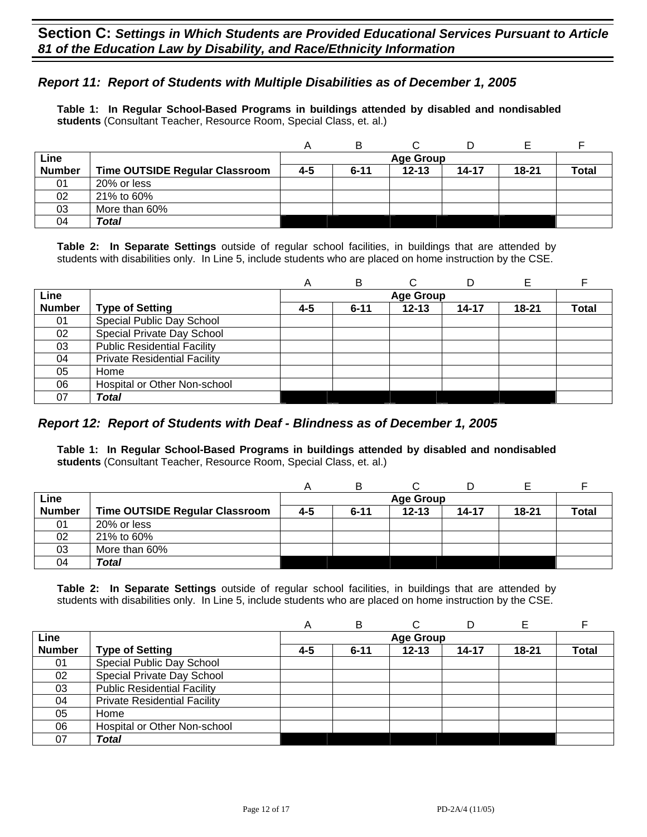### *Report 11: Report of Students with Multiple Disabilities as of December 1, 2005*

**Table 1: In Regular School-Based Programs in buildings attended by disabled and nondisabled students** (Consultant Teacher, Resource Room, Special Class, et. al.)

|               |                                |     | B                |           |       |           |              |  |  |  |
|---------------|--------------------------------|-----|------------------|-----------|-------|-----------|--------------|--|--|--|
| Line          |                                |     | <b>Age Group</b> |           |       |           |              |  |  |  |
| <b>Number</b> | Time OUTSIDE Regular Classroom | 4-5 | $6 - 11$         | $12 - 13$ | 14-17 | $18 - 21$ | <b>Total</b> |  |  |  |
| 01            | 20% or less                    |     |                  |           |       |           |              |  |  |  |
| 02            | 21% to 60%                     |     |                  |           |       |           |              |  |  |  |
| 03            | More than 60%                  |     |                  |           |       |           |              |  |  |  |
| 04            | Total                          |     |                  |           |       |           |              |  |  |  |

**Table 2: In Separate Settings** outside of regular school facilities, in buildings that are attended by students with disabilities only. In Line 5, include students who are placed on home instruction by the CSE.

|               |                                     | A   | в        |                  | D     | Е         |       |
|---------------|-------------------------------------|-----|----------|------------------|-------|-----------|-------|
| Line          |                                     |     |          | <b>Age Group</b> |       |           |       |
| <b>Number</b> | <b>Type of Setting</b>              | 4-5 | $6 - 11$ | $12 - 13$        | 14-17 | $18 - 21$ | Total |
| 01            | Special Public Day School           |     |          |                  |       |           |       |
| 02            | Special Private Day School          |     |          |                  |       |           |       |
| 03            | <b>Public Residential Facility</b>  |     |          |                  |       |           |       |
| 04            | <b>Private Residential Facility</b> |     |          |                  |       |           |       |
| 05            | Home                                |     |          |                  |       |           |       |
| 06            | Hospital or Other Non-school        |     |          |                  |       |           |       |
| 07            | Total                               |     |          |                  |       |           |       |

#### *Report 12: Report of Students with Deaf - Blindness as of December 1, 2005*

**Table 1: In Regular School-Based Programs in buildings attended by disabled and nondisabled students** (Consultant Teacher, Resource Room, Special Class, et. al.)

|               |                                |         | B        |                  |       |           |              |
|---------------|--------------------------------|---------|----------|------------------|-------|-----------|--------------|
| Line          |                                |         |          | <b>Age Group</b> |       |           |              |
| <b>Number</b> | Time OUTSIDE Regular Classroom | $4 - 5$ | $6 - 11$ | $12 - 13$        | 14-17 | $18 - 21$ | <b>Total</b> |
| 01            | 20% or less                    |         |          |                  |       |           |              |
| 02            | 21% to 60%                     |         |          |                  |       |           |              |
| 03            | More than 60%                  |         |          |                  |       |           |              |
| 04            | Total                          |         |          |                  |       |           |              |

|               |                                     | А       | В        | C                |           | Е         |              |
|---------------|-------------------------------------|---------|----------|------------------|-----------|-----------|--------------|
| Line          |                                     |         |          | <b>Age Group</b> |           |           |              |
| <b>Number</b> | <b>Type of Setting</b>              | $4 - 5$ | $6 - 11$ | $12 - 13$        | $14 - 17$ | $18 - 21$ | <b>Total</b> |
| 01            | Special Public Day School           |         |          |                  |           |           |              |
| 02            | Special Private Day School          |         |          |                  |           |           |              |
| 03            | <b>Public Residential Facility</b>  |         |          |                  |           |           |              |
| 04            | <b>Private Residential Facility</b> |         |          |                  |           |           |              |
| 05            | Home                                |         |          |                  |           |           |              |
| 06            | Hospital or Other Non-school        |         |          |                  |           |           |              |
| 07            | Total                               |         |          |                  |           |           |              |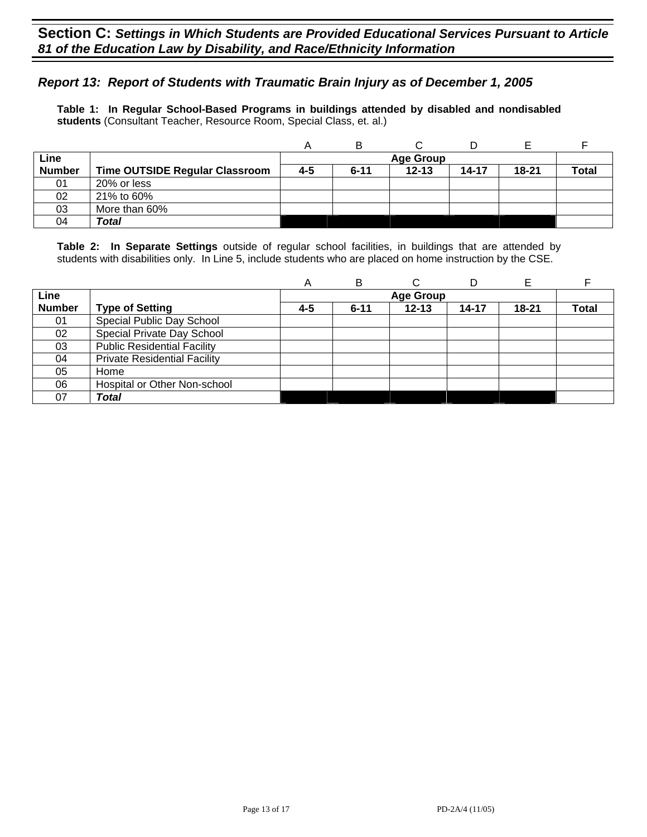### *Report 13: Report of Students with Traumatic Brain Injury as of December 1, 2005*

**Table 1: In Regular School-Based Programs in buildings attended by disabled and nondisabled students** (Consultant Teacher, Resource Room, Special Class, et. al.)

|               |                                       |     | в                |           |           |       |              |  |  |  |
|---------------|---------------------------------------|-----|------------------|-----------|-----------|-------|--------------|--|--|--|
| Line          |                                       |     | <b>Age Group</b> |           |           |       |              |  |  |  |
| <b>Number</b> | <b>Time OUTSIDE Regular Classroom</b> | 4-5 | $6 - 11$         | $12 - 13$ | $14 - 17$ | 18-21 | <b>Total</b> |  |  |  |
| 01            | 20% or less                           |     |                  |           |           |       |              |  |  |  |
| 02            | 21% to 60%                            |     |                  |           |           |       |              |  |  |  |
| 03            | More than 60%                         |     |                  |           |           |       |              |  |  |  |
| 04            | Total                                 |     |                  |           |           |       |              |  |  |  |

|               |                                     | A   | в        | ⌒                | D     |           |              |
|---------------|-------------------------------------|-----|----------|------------------|-------|-----------|--------------|
| Line          |                                     |     |          | <b>Age Group</b> |       |           |              |
| <b>Number</b> | <b>Type of Setting</b>              | 4-5 | $6 - 11$ | $12 - 13$        | 14-17 | $18 - 21$ | <b>Total</b> |
| 01            | Special Public Day School           |     |          |                  |       |           |              |
| 02            | Special Private Day School          |     |          |                  |       |           |              |
| 03            | <b>Public Residential Facility</b>  |     |          |                  |       |           |              |
| 04            | <b>Private Residential Facility</b> |     |          |                  |       |           |              |
| 05            | Home                                |     |          |                  |       |           |              |
| 06            | Hospital or Other Non-school        |     |          |                  |       |           |              |
| 07            | Total                               |     |          |                  |       |           |              |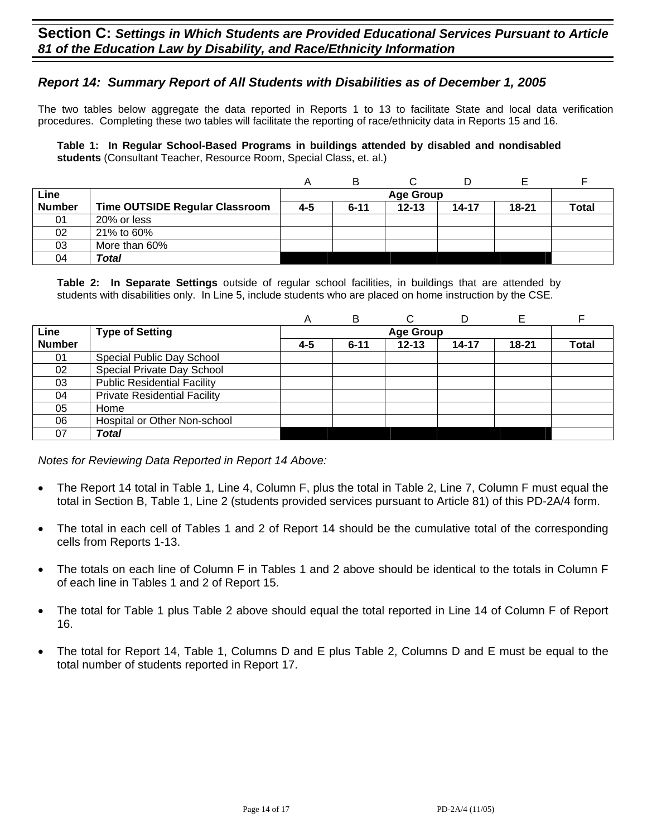### *Report 14: Summary Report of All Students with Disabilities as of December 1, 2005*

The two tables below aggregate the data reported in Reports 1 to 13 to facilitate State and local data verification procedures. Completing these two tables will facilitate the reporting of race/ethnicity data in Reports 15 and 16.

**Table 1: In Regular School-Based Programs in buildings attended by disabled and nondisabled students** (Consultant Teacher, Resource Room, Special Class, et. al.)

|               |                                       |         | в        |           |           |           |              |
|---------------|---------------------------------------|---------|----------|-----------|-----------|-----------|--------------|
| Line          |                                       |         |          | Age Group |           |           |              |
| <b>Number</b> | <b>Time OUTSIDE Regular Classroom</b> | $4 - 5$ | $6 - 11$ | $12 - 13$ | $14 - 17$ | $18 - 21$ | <b>Total</b> |
| 01            | 20% or less                           |         |          |           |           |           |              |
| 02            | 21% to 60%                            |         |          |           |           |           |              |
| 03            | More than 60%                         |         |          |           |           |           |              |
| 04            | Total                                 |         |          |           |           |           |              |

**Table 2: In Separate Settings** outside of regular school facilities, in buildings that are attended by students with disabilities only. In Line 5, include students who are placed on home instruction by the CSE.

|               |                                     | A       | B        | С                |       |           |              |
|---------------|-------------------------------------|---------|----------|------------------|-------|-----------|--------------|
| Line          | <b>Type of Setting</b>              |         |          | <b>Age Group</b> |       |           |              |
| <b>Number</b> |                                     | $4 - 5$ | $6 - 11$ | $12 - 13$        | 14-17 | $18 - 21$ | <b>Total</b> |
| 01            | Special Public Day School           |         |          |                  |       |           |              |
| 02            | Special Private Day School          |         |          |                  |       |           |              |
| 03            | <b>Public Residential Facility</b>  |         |          |                  |       |           |              |
| 04            | <b>Private Residential Facility</b> |         |          |                  |       |           |              |
| 05            | Home                                |         |          |                  |       |           |              |
| 06            | Hospital or Other Non-school        |         |          |                  |       |           |              |
| 07            | Total                               |         |          |                  |       |           |              |

*Notes for Reviewing Data Reported in Report 14 Above:* 

- The Report 14 total in Table 1, Line 4, Column F, plus the total in Table 2, Line 7, Column F must equal the total in Section B, Table 1, Line 2 (students provided services pursuant to Article 81) of this PD-2A/4 form.
- The total in each cell of Tables 1 and 2 of Report 14 should be the cumulative total of the corresponding cells from Reports 1-13.
- The totals on each line of Column F in Tables 1 and 2 above should be identical to the totals in Column F of each line in Tables 1 and 2 of Report 15.
- The total for Table 1 plus Table 2 above should equal the total reported in Line 14 of Column F of Report 16.
- The total for Report 14, Table 1, Columns D and E plus Table 2, Columns D and E must be equal to the total number of students reported in Report 17.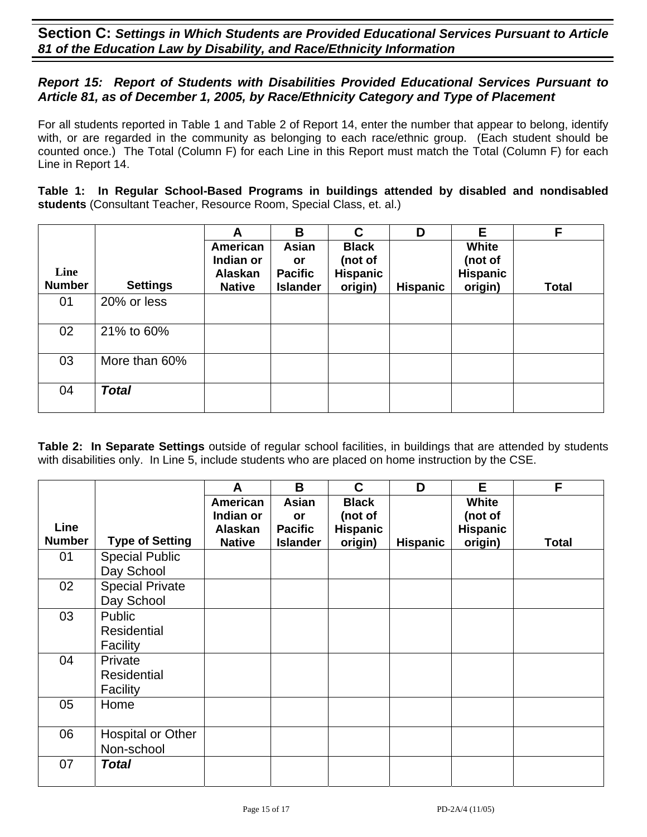### *Report 15: Report of Students with Disabilities Provided Educational Services Pursuant to Article 81, as of December 1, 2005, by Race/Ethnicity Category and Type of Placement*

For all students reported in Table 1 and Table 2 of Report 14, enter the number that appear to belong, identify with, or are regarded in the community as belonging to each race/ethnic group. (Each student should be counted once.) The Total (Column F) for each Line in this Report must match the Total (Column F) for each Line in Report 14.

**Table 1: In Regular School-Based Programs in buildings attended by disabled and nondisabled students** (Consultant Teacher, Resource Room, Special Class, et. al.)

|               |                 | A                            | B                                 | $\mathbf C$                | D               | E                          | F            |
|---------------|-----------------|------------------------------|-----------------------------------|----------------------------|-----------------|----------------------------|--------------|
| Line          |                 | <b>American</b><br>Indian or | Asian<br>or                       | <b>Black</b><br>(not of    |                 | White<br>(not of           |              |
| <b>Number</b> | <b>Settings</b> | Alaskan<br><b>Native</b>     | <b>Pacific</b><br><b>Islander</b> | <b>Hispanic</b><br>origin) | <b>Hispanic</b> | <b>Hispanic</b><br>origin) | <b>Total</b> |
| 01            | 20% or less     |                              |                                   |                            |                 |                            |              |
| 02            | 21% to 60%      |                              |                                   |                            |                 |                            |              |
| 03            | More than 60%   |                              |                                   |                            |                 |                            |              |
| 04            | <b>Total</b>    |                              |                                   |                            |                 |                            |              |

|               |                                        | A                    | B                    | C                          | D               | E                          | F            |
|---------------|----------------------------------------|----------------------|----------------------|----------------------------|-----------------|----------------------------|--------------|
|               |                                        | American             | Asian                | <b>Black</b>               |                 | White                      |              |
| Line          |                                        | Indian or<br>Alaskan | or<br><b>Pacific</b> | (not of                    |                 | (not of                    |              |
| <b>Number</b> | <b>Type of Setting</b>                 | <b>Native</b>        | <b>Islander</b>      | <b>Hispanic</b><br>origin) | <b>Hispanic</b> | <b>Hispanic</b><br>origin) | <b>Total</b> |
| 01            | <b>Special Public</b>                  |                      |                      |                            |                 |                            |              |
|               | Day School                             |                      |                      |                            |                 |                            |              |
| 02            | <b>Special Private</b>                 |                      |                      |                            |                 |                            |              |
|               | Day School                             |                      |                      |                            |                 |                            |              |
| 03            | Public                                 |                      |                      |                            |                 |                            |              |
|               | Residential                            |                      |                      |                            |                 |                            |              |
|               | Facility                               |                      |                      |                            |                 |                            |              |
| 04            | Private                                |                      |                      |                            |                 |                            |              |
|               | <b>Residential</b>                     |                      |                      |                            |                 |                            |              |
|               | Facility                               |                      |                      |                            |                 |                            |              |
| 05            | Home                                   |                      |                      |                            |                 |                            |              |
|               |                                        |                      |                      |                            |                 |                            |              |
| 06            | <b>Hospital or Other</b><br>Non-school |                      |                      |                            |                 |                            |              |
|               |                                        |                      |                      |                            |                 |                            |              |
| 07            | <b>Total</b>                           |                      |                      |                            |                 |                            |              |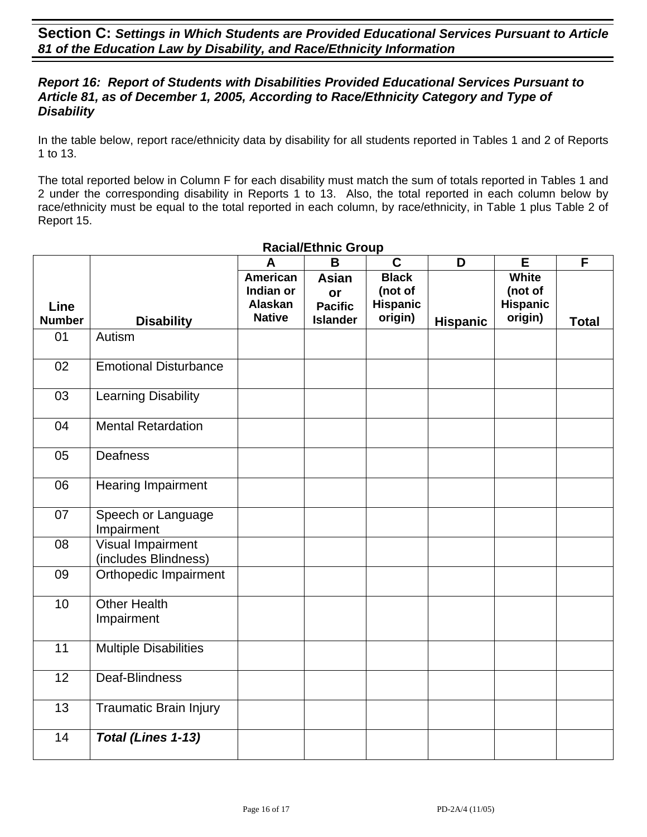### *Report 16: Report of Students with Disabilities Provided Educational Services Pursuant to Article 81, as of December 1, 2005, According to Race/Ethnicity Category and Type of Disability*

In the table below, report race/ethnicity data by disability for all students reported in Tables 1 and 2 of Reports 1 to 13.

The total reported below in Column F for each disability must match the sum of totals reported in Tables 1 and 2 under the corresponding disability in Reports 1 to 13. Also, the total reported in each column below by race/ethnicity must be equal to the total reported in each column, by race/ethnicity, in Table 1 plus Table 2 of Report 15.

|                              |                                           | A                                                        | B                                                       | $\mathbf C$                                           | D               | E                                              | F            |
|------------------------------|-------------------------------------------|----------------------------------------------------------|---------------------------------------------------------|-------------------------------------------------------|-----------------|------------------------------------------------|--------------|
| <b>Line</b><br><b>Number</b> | <b>Disability</b>                         | <b>American</b><br>Indian or<br>Alaskan<br><b>Native</b> | <b>Asian</b><br>or<br><b>Pacific</b><br><b>Islander</b> | <b>Black</b><br>(not of<br><b>Hispanic</b><br>origin) | <b>Hispanic</b> | White<br>(not of<br><b>Hispanic</b><br>origin) | <b>Total</b> |
| 01                           | Autism                                    |                                                          |                                                         |                                                       |                 |                                                |              |
| 02                           | <b>Emotional Disturbance</b>              |                                                          |                                                         |                                                       |                 |                                                |              |
| 03                           | <b>Learning Disability</b>                |                                                          |                                                         |                                                       |                 |                                                |              |
| 04                           | <b>Mental Retardation</b>                 |                                                          |                                                         |                                                       |                 |                                                |              |
| 05                           | Deafness                                  |                                                          |                                                         |                                                       |                 |                                                |              |
| 06                           | <b>Hearing Impairment</b>                 |                                                          |                                                         |                                                       |                 |                                                |              |
| 07                           | Speech or Language<br>Impairment          |                                                          |                                                         |                                                       |                 |                                                |              |
| 08                           | Visual Impairment<br>(includes Blindness) |                                                          |                                                         |                                                       |                 |                                                |              |
| 09                           | Orthopedic Impairment                     |                                                          |                                                         |                                                       |                 |                                                |              |
| 10                           | <b>Other Health</b><br>Impairment         |                                                          |                                                         |                                                       |                 |                                                |              |
| $\overline{11}$              | <b>Multiple Disabilities</b>              |                                                          |                                                         |                                                       |                 |                                                |              |
| 12                           | Deaf-Blindness                            |                                                          |                                                         |                                                       |                 |                                                |              |
| 13                           | <b>Traumatic Brain Injury</b>             |                                                          |                                                         |                                                       |                 |                                                |              |
| 14                           | Total (Lines 1-13)                        |                                                          |                                                         |                                                       |                 |                                                |              |

#### **Racial/Ethnic Group**